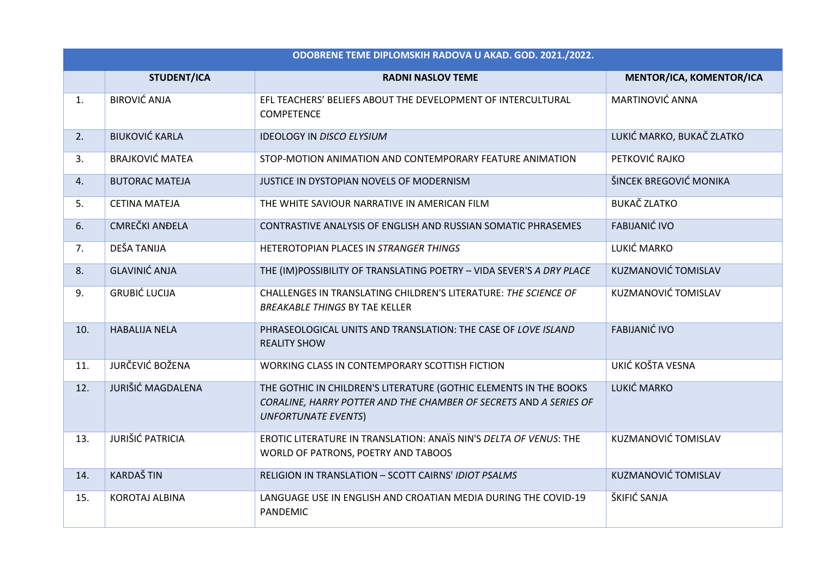| ODOBRENE TEME DIPLOMSKIH RADOVA U AKAD. GOD. 2021./2022. |                          |                                                                                                                                                                      |                            |  |
|----------------------------------------------------------|--------------------------|----------------------------------------------------------------------------------------------------------------------------------------------------------------------|----------------------------|--|
|                                                          | <b>STUDENT/ICA</b>       | <b>RADNI NASLOV TEME</b>                                                                                                                                             | MENTOR/ICA, KOMENTOR/ICA   |  |
| 1.                                                       | <b>BIROVIĆ ANJA</b>      | EFL TEACHERS' BELIEFS ABOUT THE DEVELOPMENT OF INTERCULTURAL<br><b>COMPETENCE</b>                                                                                    | MARTINOVIĆ ANNA            |  |
| 2.                                                       | <b>BIUKOVIĆ KARLA</b>    | <b>IDEOLOGY IN DISCO ELYSIUM</b>                                                                                                                                     | LUKIĆ MARKO, BUKAČ ZLATKO  |  |
| 3.                                                       | <b>BRAJKOVIĆ MATEA</b>   | STOP-MOTION ANIMATION AND CONTEMPORARY FEATURE ANIMATION                                                                                                             | PETKOVIĆ RAJKO             |  |
| 4.                                                       | <b>BUTORAC MATEJA</b>    | JUSTICE IN DYSTOPIAN NOVELS OF MODERNISM                                                                                                                             | ŠINCEK BREGOVIĆ MONIKA     |  |
| 5.                                                       | <b>CETINA MATEJA</b>     | THE WHITE SAVIOUR NARRATIVE IN AMERICAN FILM                                                                                                                         | <b>BUKAČ ZLATKO</b>        |  |
| 6.                                                       | <b>CMREČKI ANĐELA</b>    | CONTRASTIVE ANALYSIS OF ENGLISH AND RUSSIAN SOMATIC PHRASEMES                                                                                                        | <b>FABIJANIĆ IVO</b>       |  |
| 7.                                                       | DEŠA TANIJA              | HETEROTOPIAN PLACES IN STRANGER THINGS                                                                                                                               | LUKIĆ MARKO                |  |
| 8.                                                       | <b>GLAVINIĆ ANJA</b>     | THE (IM)POSSIBILITY OF TRANSLATING POETRY - VIDA SEVER'S A DRY PLACE                                                                                                 | <b>KUZMANOVIĆ TOMISLAV</b> |  |
| 9.                                                       | <b>GRUBIĆ LUCIJA</b>     | CHALLENGES IN TRANSLATING CHILDREN'S LITERATURE: THE SCIENCE OF<br><b>BREAKABLE THINGS BY TAE KELLER</b>                                                             | KUZMANOVIĆ TOMISLAV        |  |
| 10.                                                      | <b>HABALIJA NELA</b>     | PHRASEOLOGICAL UNITS AND TRANSLATION: THE CASE OF LOVE ISLAND<br><b>REALITY SHOW</b>                                                                                 | <b>FABIJANIĆ IVO</b>       |  |
| 11.                                                      | <b>JURČEVIĆ BOŽENA</b>   | WORKING CLASS IN CONTEMPORARY SCOTTISH FICTION                                                                                                                       | UKIĆ KOŠTA VESNA           |  |
| 12.                                                      | <b>JURIŠIĆ MAGDALENA</b> | THE GOTHIC IN CHILDREN'S LITERATURE (GOTHIC ELEMENTS IN THE BOOKS<br>CORALINE, HARRY POTTER AND THE CHAMBER OF SECRETS AND A SERIES OF<br><b>UNFORTUNATE EVENTS)</b> | LUKIĆ MARKO                |  |
| 13.                                                      | <b>JURIŠIĆ PATRICIA</b>  | EROTIC LITERATURE IN TRANSLATION: ANAÏS NIN'S DELTA OF VENUS: THE<br>WORLD OF PATRONS, POETRY AND TABOOS                                                             | KUZMANOVIĆ TOMISLAV        |  |
| 14.                                                      | <b>KARDAŠTIN</b>         | RELIGION IN TRANSLATION - SCOTT CAIRNS' IDIOT PSALMS                                                                                                                 | <b>KUZMANOVIĆ TOMISLAV</b> |  |
| 15.                                                      | <b>KOROTAJ ALBINA</b>    | LANGUAGE USE IN ENGLISH AND CROATIAN MEDIA DURING THE COVID-19<br><b>PANDEMIC</b>                                                                                    | ŠKIFIĆ SANJA               |  |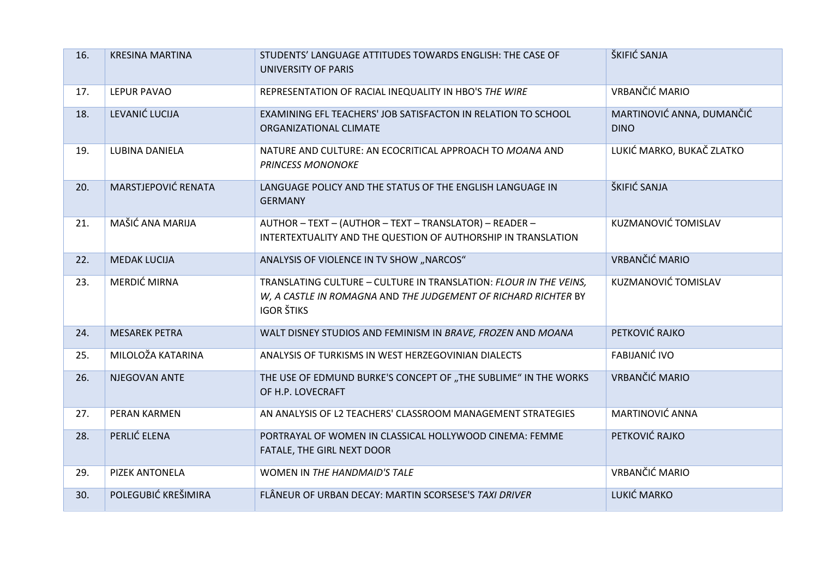| 16. | <b>KRESINA MARTINA</b> | STUDENTS' LANGUAGE ATTITUDES TOWARDS ENGLISH: THE CASE OF<br>UNIVERSITY OF PARIS                                                                         | ŠKIFIĆ SANJA                             |
|-----|------------------------|----------------------------------------------------------------------------------------------------------------------------------------------------------|------------------------------------------|
| 17. | <b>LEPUR PAVAO</b>     | REPRESENTATION OF RACIAL INEQUALITY IN HBO'S THE WIRE                                                                                                    | <b>VRBANČIĆ MARIO</b>                    |
| 18. | LEVANIĆ LUCIJA         | EXAMINING EFL TEACHERS' JOB SATISFACTON IN RELATION TO SCHOOL<br>ORGANIZATIONAL CLIMATE                                                                  | MARTINOVIĆ ANNA, DUMANČIĆ<br><b>DINO</b> |
| 19. | LUBINA DANIELA         | NATURE AND CULTURE: AN ECOCRITICAL APPROACH TO MOANA AND<br><b>PRINCESS MONONOKE</b>                                                                     | LUKIĆ MARKO, BUKAČ ZLATKO                |
| 20. | MARSTJEPOVIĆ RENATA    | LANGUAGE POLICY AND THE STATUS OF THE ENGLISH LANGUAGE IN<br><b>GERMANY</b>                                                                              | ŠKIFIĆ SANJA                             |
| 21. | MAŠIĆ ANA MARIJA       | AUTHOR - TEXT - (AUTHOR - TEXT - TRANSLATOR) - READER -<br>INTERTEXTUALITY AND THE QUESTION OF AUTHORSHIP IN TRANSLATION                                 | <b>KUZMANOVIĆ TOMISLAV</b>               |
| 22. | <b>MEDAK LUCIJA</b>    | ANALYSIS OF VIOLENCE IN TV SHOW "NARCOS"                                                                                                                 | <b>VRBANČIĆ MARIO</b>                    |
| 23. | MERDIĆ MIRNA           | TRANSLATING CULTURE - CULTURE IN TRANSLATION: FLOUR IN THE VEINS,<br>W, A CASTLE IN ROMAGNA AND THE JUDGEMENT OF RICHARD RICHTER BY<br><b>IGOR ŠTIKS</b> | KUZMANOVIĆ TOMISLAV                      |
| 24. | <b>MESAREK PETRA</b>   | WALT DISNEY STUDIOS AND FEMINISM IN BRAVE, FROZEN AND MOANA                                                                                              | PETKOVIĆ RAJKO                           |
| 25. | MILOLOŽA KATARINA      | ANALYSIS OF TURKISMS IN WEST HERZEGOVINIAN DIALECTS                                                                                                      | <b>FABIJANIĆ IVO</b>                     |
| 26. | NJEGOVAN ANTE          | THE USE OF EDMUND BURKE'S CONCEPT OF "THE SUBLIME" IN THE WORKS<br>OF H.P. LOVECRAFT                                                                     | <b>VRBANČIĆ MARIO</b>                    |
| 27. | PERAN KARMEN           | AN ANALYSIS OF L2 TEACHERS' CLASSROOM MANAGEMENT STRATEGIES                                                                                              | <b>MARTINOVIĆ ANNA</b>                   |
| 28. | PERLIĆ ELENA           | PORTRAYAL OF WOMEN IN CLASSICAL HOLLYWOOD CINEMA: FEMME<br>FATALE, THE GIRL NEXT DOOR                                                                    | PETKOVIĆ RAJKO                           |
| 29. | PIZEK ANTONELA         | WOMEN IN THE HANDMAID'S TALE                                                                                                                             | VRBANČIĆ MARIO                           |
| 30. | POLEGUBIĆ KREŠIMIRA    | FLÂNEUR OF URBAN DECAY: MARTIN SCORSESE'S TAXI DRIVER                                                                                                    | LUKIĆ MARKO                              |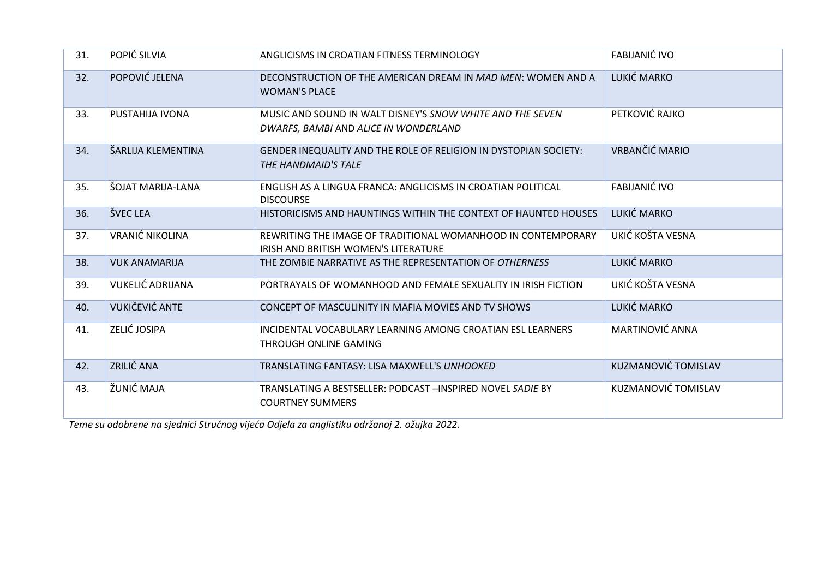| 31. | POPIĆ SILVIA            | ANGLICISMS IN CROATIAN FITNESS TERMINOLOGY                                                           | <b>FABIJANIĆ IVO</b> |
|-----|-------------------------|------------------------------------------------------------------------------------------------------|----------------------|
| 32. | POPOVIĆ JELENA          | DECONSTRUCTION OF THE AMERICAN DREAM IN MAD MEN: WOMEN AND A<br><b>WOMAN'S PLACE</b>                 | LUKIĆ MARKO          |
| 33. | PUSTAHIJA IVONA         | MUSIC AND SOUND IN WALT DISNEY'S SNOW WHITE AND THE SEVEN<br>DWARFS, BAMBI AND ALICE IN WONDERLAND   | PETKOVIĆ RAJKO       |
| 34. | ŠARLIJA KLEMENTINA      | GENDER INEQUALITY AND THE ROLE OF RELIGION IN DYSTOPIAN SOCIETY:<br>THE HANDMAID'S TALE              | VRBANČIĆ MARIO       |
| 35. | ŠOJAT MARIJA-LANA       | ENGLISH AS A LINGUA FRANCA: ANGLICISMS IN CROATIAN POLITICAL<br><b>DISCOURSE</b>                     | <b>FABIJANIĆ IVO</b> |
| 36. | <b>ŠVEC LEA</b>         | HISTORICISMS AND HAUNTINGS WITHIN THE CONTEXT OF HAUNTED HOUSES                                      | LUKIĆ MARKO          |
| 37. | <b>VRANIĆ NIKOLINA</b>  | REWRITING THE IMAGE OF TRADITIONAL WOMANHOOD IN CONTEMPORARY<br>IRISH AND BRITISH WOMEN'S LITERATURE | UKIĆ KOŠTA VESNA     |
| 38. | <b>VUK ANAMARIJA</b>    | THE ZOMBIE NARRATIVE AS THE REPRESENTATION OF OTHERNESS                                              | LUKIĆ MARKO          |
| 39. | <b>VUKELIĆ ADRIJANA</b> | PORTRAYALS OF WOMANHOOD AND FEMALE SEXUALITY IN IRISH FICTION                                        | UKIĆ KOŠTA VESNA     |
| 40. | VUKIČEVIĆ ANTE          | CONCEPT OF MASCULINITY IN MAFIA MOVIES AND TV SHOWS                                                  | LUKIĆ MARKO          |
| 41. | ZELIĆ JOSIPA            | INCIDENTAL VOCABULARY LEARNING AMONG CROATIAN ESL LEARNERS<br>THROUGH ONLINE GAMING                  | MARTINOVIĆ ANNA      |
| 42. | ZRILIĆ ANA              | TRANSLATING FANTASY: LISA MAXWELL'S UNHOOKED                                                         | KUZMANOVIĆ TOMISLAV  |
| 43. | ŽUNIĆ MAJA              | TRANSLATING A BESTSELLER: PODCAST -INSPIRED NOVEL SADIE BY<br><b>COURTNEY SUMMERS</b>                | KUZMANOVIĆ TOMISLAV  |

*Teme su odobrene na sjednici Stručnog vijeća Odjela za anglistiku održanoj 2. ožujka 2022.*